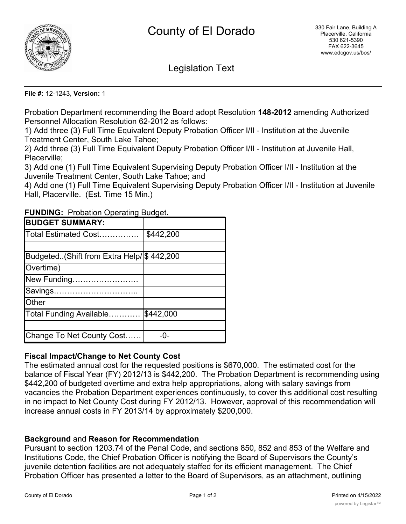

Legislation Text

### **File #:** 12-1243, **Version:** 1

Probation Department recommending the Board adopt Resolution **148-2012** amending Authorized Personnel Allocation Resolution 62-2012 as follows:

1) Add three (3) Full Time Equivalent Deputy Probation Officer I/II - Institution at the Juvenile Treatment Center, South Lake Tahoe;

2) Add three (3) Full Time Equivalent Deputy Probation Officer I/II - Institution at Juvenile Hall, Placerville;

3) Add one (1) Full Time Equivalent Supervising Deputy Probation Officer I/II - Institution at the Juvenile Treatment Center, South Lake Tahoe; and

4) Add one (1) Full Time Equivalent Supervising Deputy Probation Officer I/II - Institution at Juvenile Hall, Placerville. (Est. Time 15 Min.)

| <b>BUDGET SUMMARY:</b>                      |           |
|---------------------------------------------|-----------|
| Total Estimated Cost                        | \$442,200 |
|                                             |           |
| Budgeted. (Shift from Extra Help/ \$442,200 |           |
| Overtime)                                   |           |
| New Funding                                 |           |
| Savings <u></u>                             |           |
| <b>Other</b>                                |           |
| Total Funding Available                     | \$442,000 |
|                                             |           |
| Change To Net County Cost                   | -0-       |

**FUNDING:** Probation Operating Budget

# **Fiscal Impact/Change to Net County Cost**

The estimated annual cost for the requested positions is \$670,000. The estimated cost for the balance of Fiscal Year (FY) 2012/13 is \$442,200. The Probation Department is recommending using \$442,200 of budgeted overtime and extra help appropriations, along with salary savings from vacancies the Probation Department experiences continuously, to cover this additional cost resulting in no impact to Net County Cost during FY 2012/13. However, approval of this recommendation will increase annual costs in FY 2013/14 by approximately \$200,000.

# **Background** and **Reason for Recommendation**

Pursuant to section 1203.74 of the Penal Code, and sections 850, 852 and 853 of the Welfare and Institutions Code, the Chief Probation Officer is notifying the Board of Supervisors the County's juvenile detention facilities are not adequately staffed for its efficient management. The Chief Probation Officer has presented a letter to the Board of Supervisors, as an attachment, outlining